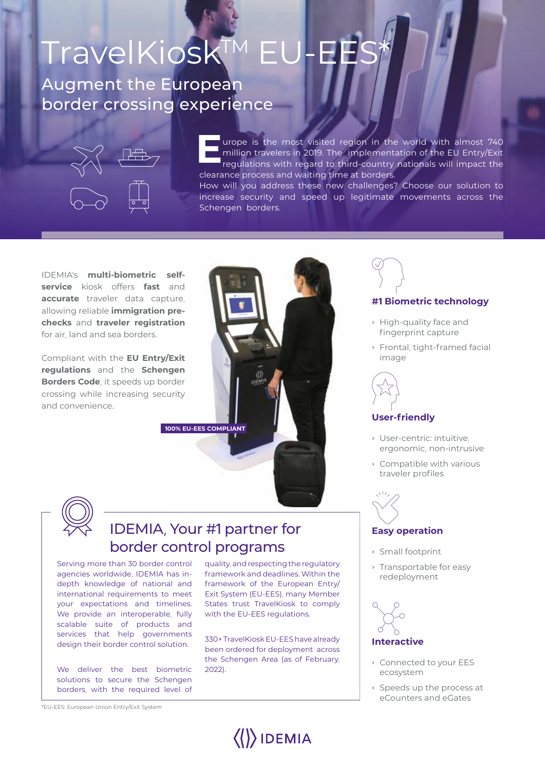# Augment the European border crossing experience TravelKiosk™ E

Schengen borders.



**EXECUTE:** urope is the most visited region in the world with almost 740<br>million travelers in 2019. The implementation of the EU Entry/Exit<br>regulations with regard to third-country nationals will impact the million travelers in 2019. The implementation of the EU Entry/Exit regulations with regard to third-country nationals will impact the clearance process and waiting time at borders. How will you address these new challenges? Choose our solution to increase security and speed up legitimate movements across the

IDEMIA's **multi-biometric selfservice** kiosk offers **fast** and **accurate** traveler data capture, allowing reliable **immigration prechecks** and **traveler registration** for air, land and sea borders.

Compliant with the **EU Entry/Exit regulations** and the **Schengen Borders Code**, it speeds up border crossing while increasing security and convenience.





## IDEMIA, Your #1 partner for border control programs

Serving more than 30 border control agencies worldwide, IDEMIA has indepth knowledge of national and international requirements to meet your expectations and timelines. We provide an interoperable, fully scalable suite of products and services that help governments design their border control solution.

We deliver the best biometric solutions to secure the Schengen borders, with the required level of

quality, and respecting the regulatory framework and deadlines. Within the framework of the European Entry/ Exit System (EU-EES), many Member States trust TravelKiosk to comply with the EU-EES regulations.

330+ TravelKiosk EU-EES have already been ordered for deployment across the Schengen Area (as of February, 2022).

 $\langle\langle\rangle\rangle$ IDEMIA



### **#1 Biometric technology**

- › High-quality face and fingerprint capture
- › Frontal, tight-framed facial image



### **User-friendly**

- › User-centric: intuitive, ergonomic, non-intrusive
- › Compatible with various traveler profiles



### **Easy operation**

- › Small footprint
- › Transportable for easy redeployment



### **Interactive**

- › Connected to your EES ecosystem
- › Speeds up the process at eCounters and eGates

\*EU-EES: European Union Entry/Exit System